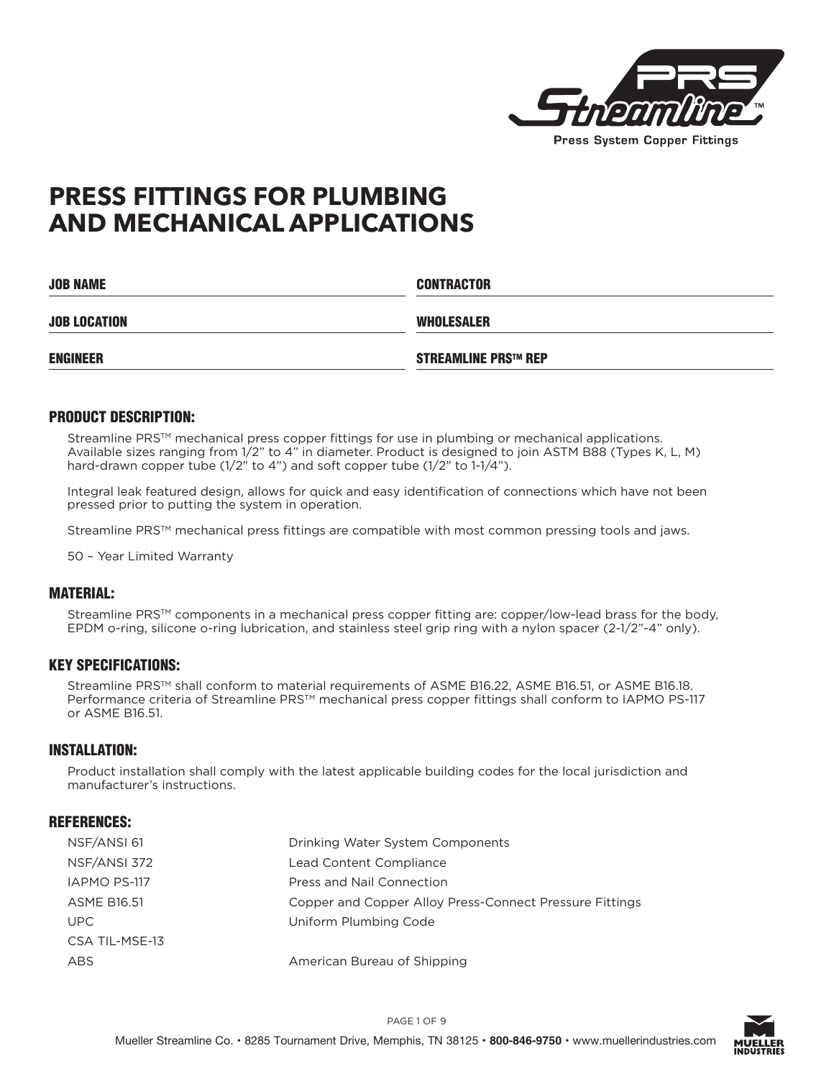

# **PRESS FITTINGS FOR PLUMBING AND MECHANICAL APPLICATIONS**

| <b>JOB NAME</b>     | <b>CONTRACTOR</b>          |  |  |
|---------------------|----------------------------|--|--|
| <b>JOB LOCATION</b> | WHOLESALER                 |  |  |
| <b>ENGINEER</b>     | <b>STREAMLINE PRS™ REP</b> |  |  |

#### PRODUCT DESCRIPTION:

Streamline PRS<sup>™</sup> mechanical press copper fittings for use in plumbing or mechanical applications. Available sizes ranging from 1/2" to 4" in diameter. Product is designed to join ASTM B88 (Types K, L, M) hard-drawn copper tube (1/2" to 4") and soft copper tube (1/2" to 1-1/4").

Integral leak featured design, allows for quick and easy identification of connections which have not been pressed prior to putting the system in operation.

Streamline PRS<sup>™</sup> mechanical press fittings are compatible with most common pressing tools and jaws.

50 – Year Limited Warranty

#### MATERIAL:

Streamline PRS™ components in a mechanical press copper fitting are: copper/low-lead brass for the body, EPDM o-ring, silicone o-ring lubrication, and stainless steel grip ring with a nylon spacer (2-1/2"-4" only).

#### KEY SPECIFICATIONS:

Streamline PRS™ shall conform to material requirements of ASME B16.22, ASME B16.51, or ASME B16.18. Performance criteria of Streamline PRS™ mechanical press copper fittings shall conform to IAPMO PS-117 or ASME B16.51.

## INSTALLATION:

Product installation shall comply with the latest applicable building codes for the local jurisdiction and manufacturer's instructions.

#### REFERENCES:

| NSF/ANSI 61        | Drinking Water System Components                        |
|--------------------|---------------------------------------------------------|
| NSF/ANSI 372       | Lead Content Compliance                                 |
| IAPMO PS-117       | Press and Nail Connection                               |
| <b>ASME B16.51</b> | Copper and Copper Alloy Press-Connect Pressure Fittings |
| UPC.               | Uniform Plumbing Code                                   |
| CSA TIL-MSE-13     |                                                         |
| ABS                | American Bureau of Shipping                             |

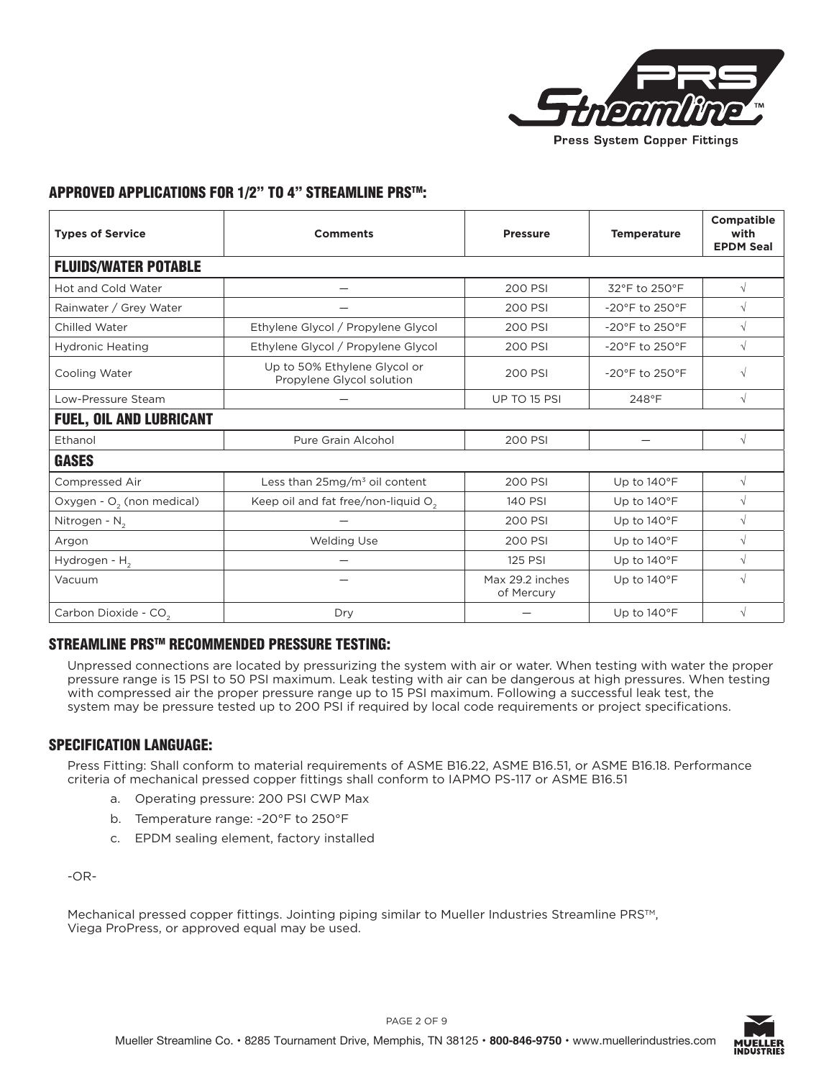

# APPROVED APPLICATIONS FOR 1/2" TO 4" STREAMLINE PRSTM:

| <b>Types of Service</b>               | <b>Comments</b>                                           | <b>Pressure</b>               | <b>Temperature</b>                  | <b>Compatible</b><br>with<br><b>EPDM Seal</b> |
|---------------------------------------|-----------------------------------------------------------|-------------------------------|-------------------------------------|-----------------------------------------------|
| <b>FLUIDS/WATER POTABLE</b>           |                                                           |                               |                                     |                                               |
| Hot and Cold Water                    |                                                           | 200 PSI                       | 32°F to 250°F                       | $\sqrt{ }$                                    |
| Rainwater / Grey Water                |                                                           | 200 PSI                       | -20°F to 250°F                      | $\sqrt{}$                                     |
| Chilled Water                         | Ethylene Glycol / Propylene Glycol                        | 200 PSI                       | -20°F to 250°F                      | $\sqrt{}$                                     |
| <b>Hydronic Heating</b>               | Ethylene Glycol / Propylene Glycol                        | 200 PSI                       | -20°F to 250°F                      | $\sqrt{ }$                                    |
| Cooling Water                         | Up to 50% Ethylene Glycol or<br>Propylene Glycol solution | 200 PSI                       | $-20^{\circ}$ F to 250 $^{\circ}$ F | $\sqrt{}$                                     |
| Low-Pressure Steam                    |                                                           | UP TO 15 PSI                  | 248°F                               | $\sqrt{}$                                     |
| <b>FUEL, OIL AND LUBRICANT</b>        |                                                           |                               |                                     |                                               |
| Ethanol                               | Pure Grain Alcohol                                        | 200 PSI                       |                                     | $\sqrt{ }$                                    |
| <b>GASES</b>                          |                                                           |                               |                                     |                                               |
| Compressed Air                        | Less than $25mg/m3$ oil content                           | 200 PSI                       | Up to 140°F                         | $\sqrt{ }$                                    |
| Oxygen - O <sub>2</sub> (non medical) | Keep oil and fat free/non-liquid O <sub>2</sub>           | 140 PSI                       | Up to 140°F                         | $\sqrt{ }$                                    |
| Nitrogen - N <sub>2</sub>             |                                                           | 200 PSI                       | Up to 140°F                         | $\sqrt{}$                                     |
| Argon                                 | <b>Welding Use</b>                                        | 200 PSI                       | Up to 140°F                         | $\sqrt{}$                                     |
| Hydrogen - H <sub>2</sub>             |                                                           | 125 PSI                       | Up to 140°F                         | $\sqrt{}$                                     |
| Vacuum                                |                                                           | Max 29.2 inches<br>of Mercury | Up to 140°F                         | $\sqrt{}$                                     |
| Carbon Dioxide - CO <sub>2</sub>      | Dry                                                       |                               | Up to 140°F                         | $\sqrt{}$                                     |

### STREAMLINE PRSTM RECOMMENDED PRESSURE TESTING:

Unpressed connections are located by pressurizing the system with air or water. When testing with water the proper pressure range is 15 PSI to 50 PSI maximum. Leak testing with air can be dangerous at high pressures. When testing with compressed air the proper pressure range up to 15 PSI maximum. Following a successful leak test, the system may be pressure tested up to 200 PSI if required by local code requirements or project specifications.

## SPECIFICATION LANGUAGE:

Press Fitting: Shall conform to material requirements of ASME B16.22, ASME B16.51, or ASME B16.18. Performance criteria of mechanical pressed copper fittings shall conform to IAPMO PS-117 or ASME B16.51

- a. Operating pressure: 200 PSI CWP Max
- b. Temperature range: -20°F to 250°F
- c. EPDM sealing element, factory installed

-OR-

Mechanical pressed copper fittings. Jointing piping similar to Mueller Industries Streamline PRS™, Viega ProPress, or approved equal may be used.

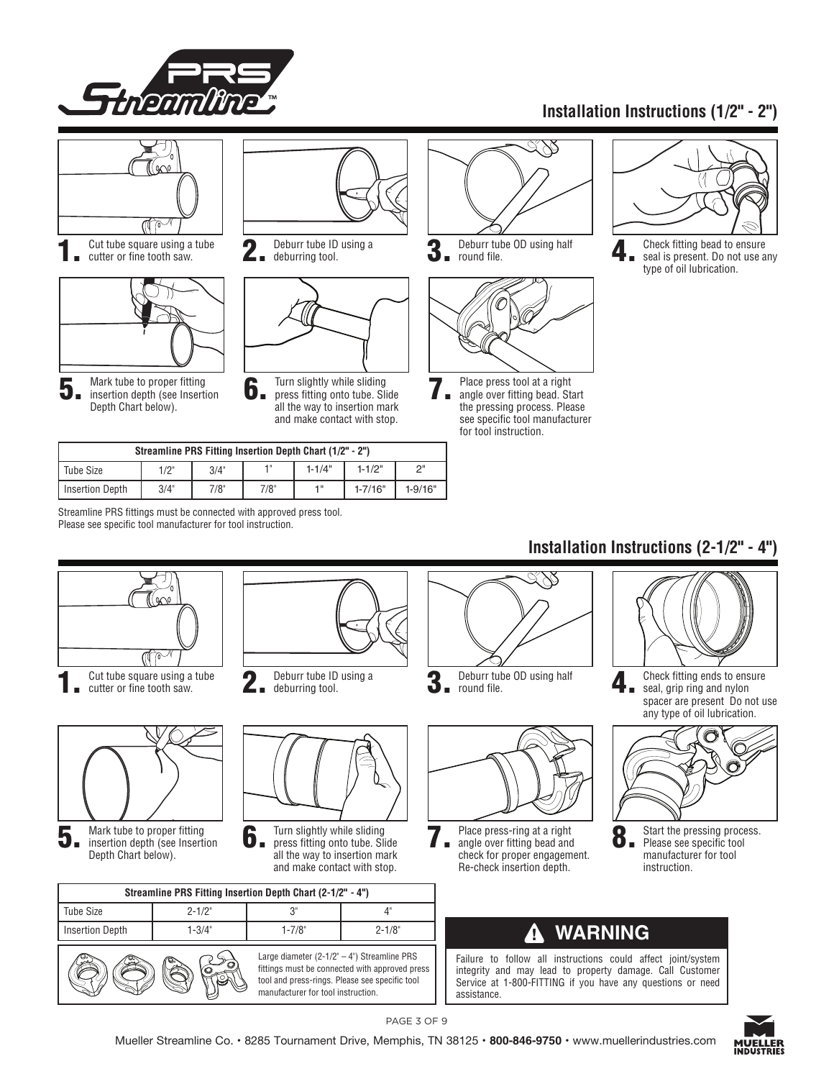

# **Installation Instructions (1/2" - 2")**



| Streamline PRS Fitting Insertion Depth Chart (1/2" - 2") |      |      |      |            |             |             |  |
|----------------------------------------------------------|------|------|------|------------|-------------|-------------|--|
| Tube Size                                                | 1/2" | 3/4" | - 11 | $1 - 1/4"$ | $1 - 1/2"$  | ייר         |  |
| <b>Insertion Depth</b>                                   | 3/4" | 7/8" | 7/8" | 4 "        | $1 - 7/16"$ | $1 - 9/16"$ |  |

Streamline PRS fittings must be connected with approved press tool. Please see specific tool manufacturer for tool instruction.

# **Installation Instructions (2-1/2" - 4")**



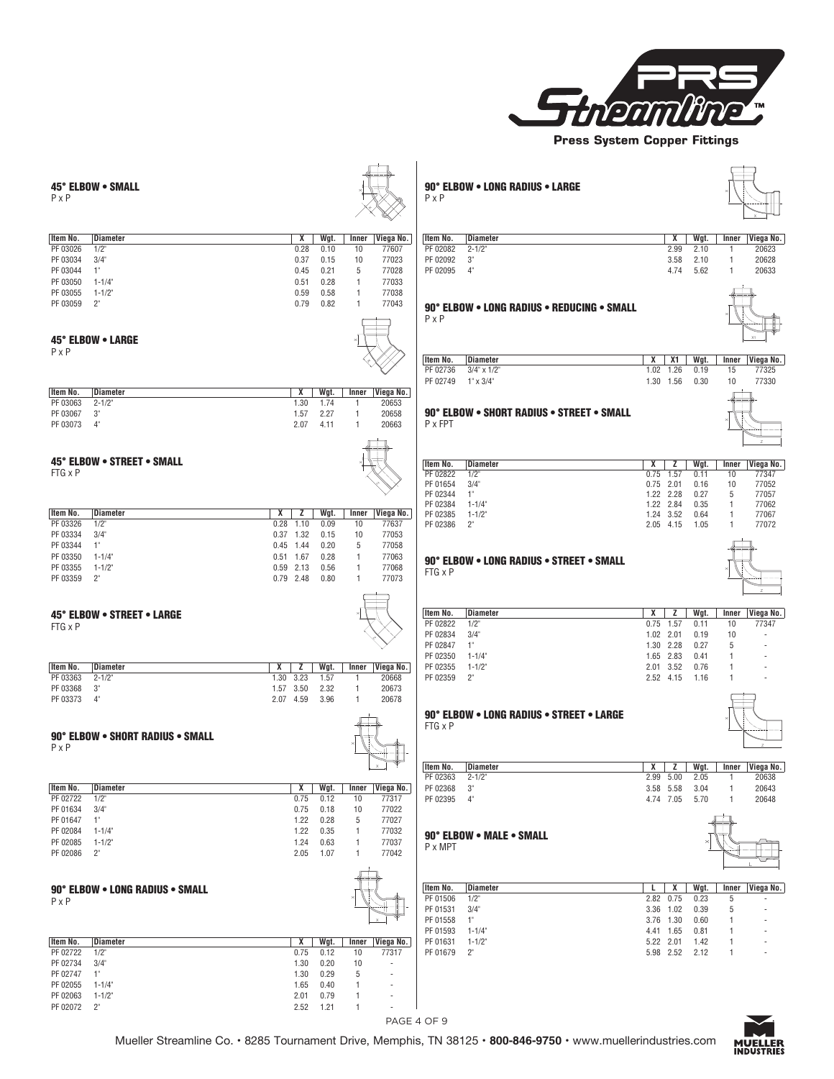

45° ELBOW • SMALL P x P **Item No. Diameter X Wgt. Inner Viega No.** PF 03026 1/2" 0.28 0.10 10 77607 PF 03034 3/4" 0.37 0.15 10 77023 PF 03044 1" 0.45 0.21 5 77028 PF 03050 1-1/4" 0.51 0.28 1 77033 PF 03055 1-1/2" 0.59 0.58 1 77038 PF 03059 2" 0.79 0.82 1 77043 45° ELBOW • LARGE P x P dt -**Item No. Diameter X Wgt. Inner Viega No.** PF 03063 2-1/2" 1.30 1.74 1 20653 PF 03067 3" 1.57 2.27 1 20658 PF 03073 4" 2.07 4.11 1 20663 45° ELBOW • STREET • SMALL FTG x P Z **Item No. Diameter X Z Wgt. Inner Viega No.** PF 03326 1/2" 0.28 1.10 0.09 10 77637 PF 03334 3/4" 0.37 1.32 0.15 10 77053 PF 03344 1" 0.45 1.44 0.20 5 77058 PF 03350 1-1/4" 0.51 1.67 0.28 1 77063 PF 03355 1-1/2" 0.59 2.13 0.56 1 77068 PF 03359 2" 0.79 2.48 0.80 1 77073 45° ELBOW • STREET • LARGE FTG x P Z **Item No. Diameter X Z Wgt. Inner Viega No.**<br>PF 03363 2-1/2" 1.30 3.23 1.57 1 20668 PF 03363 2-1/2" 1.30 3.23 1.57 1 20668 PF 03368 3" 1.57 3.50 2.32 1 20673 PF 03373 4" 2.07 4.59 3.96 1 20678 **90° ELBOW • SHORT RADIUS • SMALL**  $P \times P$  $P$  x P **Item No. Diameter X Wgt. Inner Viega No.** PF 02722 1/2" 0.75 0.12 10 77317 PF 01634 3/4" 0.75 0.18 10 77022 PF 01647 1" 1.22 0.28 5 77027 PF 02084 1-1/4" 1.22 0.35 1 77032 PF 02085 1-1/2" 1.24 0.63 1 77037 PF 02086 2" 2.05 1.07 1 77042 90° ELBOW • LONG RADIUS • SMALL  $P \times P$  $P \times P$ X **Item No. Diameter X Wgt. Inner Viega No.** PF 02722 1/2" 0.75 0.12 10 77317 PF 02734 3/4" 1.30 0.20 10 - 90° ELBOW • LONG RADIUS • LARGE P x P X  $\times$ **Item No. Diameter X Wgt. Inner Viega No.** PF 02082 2-1/2" 2.99 2.10 1 20623 PF 02092 3" 3.58 2.10 1 20628 PF 02095 4" 4.74 5.62 1 20633 90° ELBOW • LONG RADIUS • REDUCING • SMALL  $P \times P$  $P \times P$ X1 **Item No. Diameter X X1 Wgt. Inner Viega No.** PF 02736 3/4" x 1/2" 1.02 1.26 0.19 15 77325 PF 02749 1" x 3/4" 1.30 1.56 0.30 10 77330 90° ELBOW • SHORT RADIUS • STREET • SMALL PXFPT  $P$  x FPT  $\sim$ **Item No. Diameter X Z Wgt. Inner Viega No.** PF 02822 1/2" 0.75 1.57 0.11 10 77347 PF 01654 3/4" 0.75 2.01 0.16 10 77052 PF 02344 1" 1.22 2.28 0.27 5 77057 PF 02384 1-1/4" 1.22 2.84 0.35 1 77062 PF 02385 1-1/2" 1.24 3.52 0.64 1 77067<br>PF 02386 2" 2.05 4.15 1.05 1 77072  $2.05$  4.15 **90° ELBOW • LONG RADIUS • STREET • SMALL FTG x P** FTG  $\times$  P  $\times$ Z **Item No. Diameter X Z Wgt. Inner Viega No.** PF 02822 1/2" 0.75 1.57 0.11 10 77347 PF 02834 3/4" 1.02 2.01 0.19 10 - PF 02847 1" 1.30 2.28 0.27 5 - PF 02350 1-1/4" 1.65 2.83 0.41 1 - PF 02355 1-1/2" 2.01 3.52 0.76 1 - PF 02359 2" 2.52 4.15 1.16 90° ELBOW • LONG RADIUS • STREET • LARGE FTG x P Z  $\times$ **Item No. Diameter X Z Wgt. Inner Viega No.** PF 02363 2-1/2" 2.99 5.00 2.05 1 20638 PF 02368 3" 3.58 5.58 3.04 1 20643 PF 02395 4" 4.74 7.05 5.70 1 20648 90° ELBOW • MALE • SMALL P x MPT L **Item No. Diameter L X Wgt. Inner Viega No.** PF 01506 1/2" 2.82 0.75 0.23 5 - PF 01531 3/4" 3.36 1.02 0.39 5<br>PF 01558 1" 3.76 1.30 0.60 1 PF 01558 1" 3.76 1.30 0.60 1" 3.76 1.30 0.60 1.50 1.51 1.44 1.65 0.81 PF 01593 1-1/4" 4.41 1.65 0.81 1<br>PF 01631 1-1/2" 5.22 2.01 1.42 1 1-1/2" 5.22 2.01 1.42 1 PF 01679 2" 5.98 2.52 2.12 1 -



PF 02747 1 1 PF 02055 1-1/4" 1.65 0.40 1 - PF 02063 1-1/2" 2.01 0.79 1 - PF 02072 2" 2.52 1.21 1 -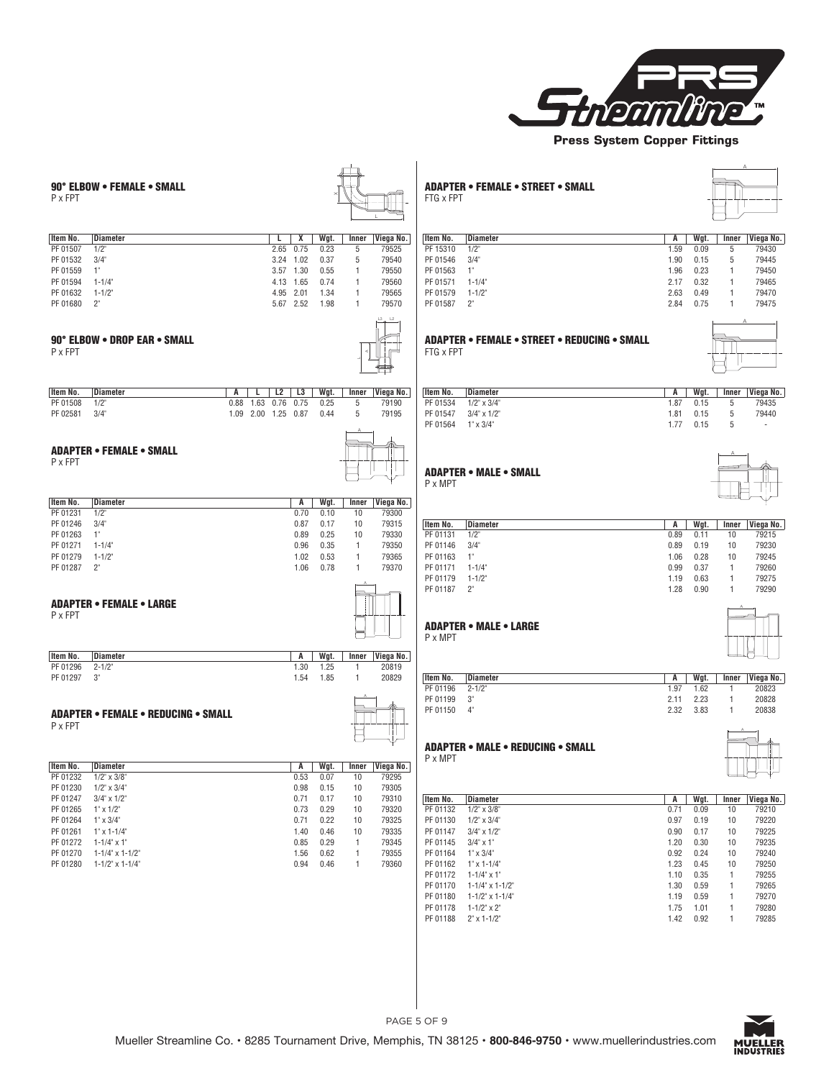

90° ELBOW • FEMALE • SMALL<br>P x FPT **P** x FPT  $\overline{X}$ L **Item No. Diameter L X Wgt. Inner Viega No.** PF 01507 1/2" 2.65 0.75 0.23 5 79525 PF 01532 3/4" 3.24 1.02 0.37 5 79540 PF 01559 1" 3.57 1.30 0.55 1 79550 PF 01594 1-1/4" 4.13 1.65 0.74 1 79560 PF 01632 1-1/2" 4.95 2.01 1.34 1 79565 PF 01680 2" 5.67 2.52 1.98 1 79570 90° ELBOW • DROP EAR • SMALL P x FPT L3 L2 **Item No. Diameter A L L2 L3 Wgt. Inner Viega No.** PF 01508 1/2" 0.88 1.63 0.76 0.75 0.25 5 79190 PF 02581 3/4" 1.09 2.00 1.25 0.87 0.44 5 79195 ADAPTER • FEMALE • SMALL P x FPT A **Item No. Diameter A Wgt. Inner Viega No.** PF 01231 1/2" 0.70 0.10 10 79300 PF 01246 3/4" 0.87 0.17 10 79315 PF 01263 1" 0.89 0.25 10 79330 PF 01271 1-1/4" 0.96 0.35 1 79350 PF 01279 1-1/2" 1.02 0.53 1 79365 PF 01287 2" 1.06 0.78 1 79370 ADAPTER • FEMALE • LARGE P x FPT A **Item No. Diameter A Wgt. Inner Viega No.** PF 01296 2-1/2" 1.30 1.25 1 20819 PF 01297 3" 1.54 1.85 1 20829 ADAPTER • FEMALE • REDUCING • SMALL P x FPT A **Item No. Diameter**<br> **A Wgt. Inner Viega No.**<br> **PF** 01232 1/2" x 3/8"<br> **D.53** 0.07 10 79295 PF 01232 1/2" x 3/8" 0.53 0.07 10 79295 PF 01230 1/2" x 3/4" 0.98 0.15 10 79305 PF 01247 3/4" x 1/2" 0.71 0.17 10 79310 PF 01265 1" x 1/2" 0.73 0.29 10 79320 PF 01264 1" x 3/4" 0.71 0.22 10 79325 PF 01261 1" x 1-1/4" 1.40 0.46 10 79335 PF 01272 1-1/4" x 1" 0.85 0.29 1 79345 PF 01270 1-1/4" x 1-1/2" 1.56 0.62 1 79355 PF 01280 1-1/2" x 1-1/4" 0.94 0.46 1 79360 ADAPTER • FEMALE • STREET • SMALL FTG x FPT A **Item No. Diameter A Wgt. Inner Viega No.** PF 15310 1/2" 1.59 0.09 5 79430 PF 01546 3/4" 1.90 0.15 5 79445 PF 01563 1" 1.96 0.23 1 79450 PF 01571 1-1/4" 2.17 0.32 1 79465 PF 01579 1-1/2" 2.63 0.49 1 79470 PF 01587 2" 2.84 0.75 1 79475 ADAPTER • FEMALE • STREET • REDUCING • SMALL FTG x FPT A **Item No. Diameter A Wgt. Inner Viega No.** PF 01534 1/2" x 3/4" 1.87 0.15 5 79435 PF 01547 3/4" x 1/2" 1.81 0.15 5 79440<br>PF 01564 1" x 3/4" 1.77 0.15 5 -PF 01564 1" x 3/4" ADAPTER • MALE • SMALL P x MPT A **Item No. Diameter A Wgt. Inner Viega No.** PF 01131 1/2" 0.89 0.11 10 79215 PF 01146 3/4" 0.89 0.19 10 79230 PF 01163 1" 1.06 0.28 10 79245 PF 01171 1-1/4" 0.99 0.37 1 79260 PF 01179 1-1/2" 1.19 0.63 1 79275 PF 01187 2" 1.28 0.90 1 79290 ADAPTER • MALE • LARGE P x MPT A **Item No. Diameter A Wgt. Inner Viega No.** PF 01196 2-1/2" 1.97 1.62 1 20823 PF 01199 3" 2.11 2.23 1 20828 PF 01150 4" 2.32 3.83 1 20838 ADAPTER • MALE • REDUCING • SMALL P x MPT A **Item No. Diameter A Wgt. Inner Viega No.** PF 01132 1/2" x 3/8" 0.71 0.09 10 79210 PF 01130 1/2" x 3/4" 0.97 0.19 10 79220 PF 01147 3/4" x 1/2" 0.90 0.17 10 79225 PF 01145 3/4" x 1" 1.20 0.30 10 79235 PF 01164 1" x 3/4" 0.92 0.24 10 79240 PF 01162 1" x 1-1/4" 1.23 0.45 10 79250 PF 01172 1-1/4" x 1" 1.10 0.35 1 79255 PF 01170 1-1/4" x 1-1/2" 1.30 0.59 1 79265



PF 01180 1-1/2" x 1-1/4" 1.19 0.59 1 79270<br>
PF 01178 1-1/2" x 2" 1.75 1.01 1 79280 PF 01178 1-1/2" x 2" 1.75 1.01 1 79280 PF 01188 2" x 1-1/2" 1.42 0.92 1 79285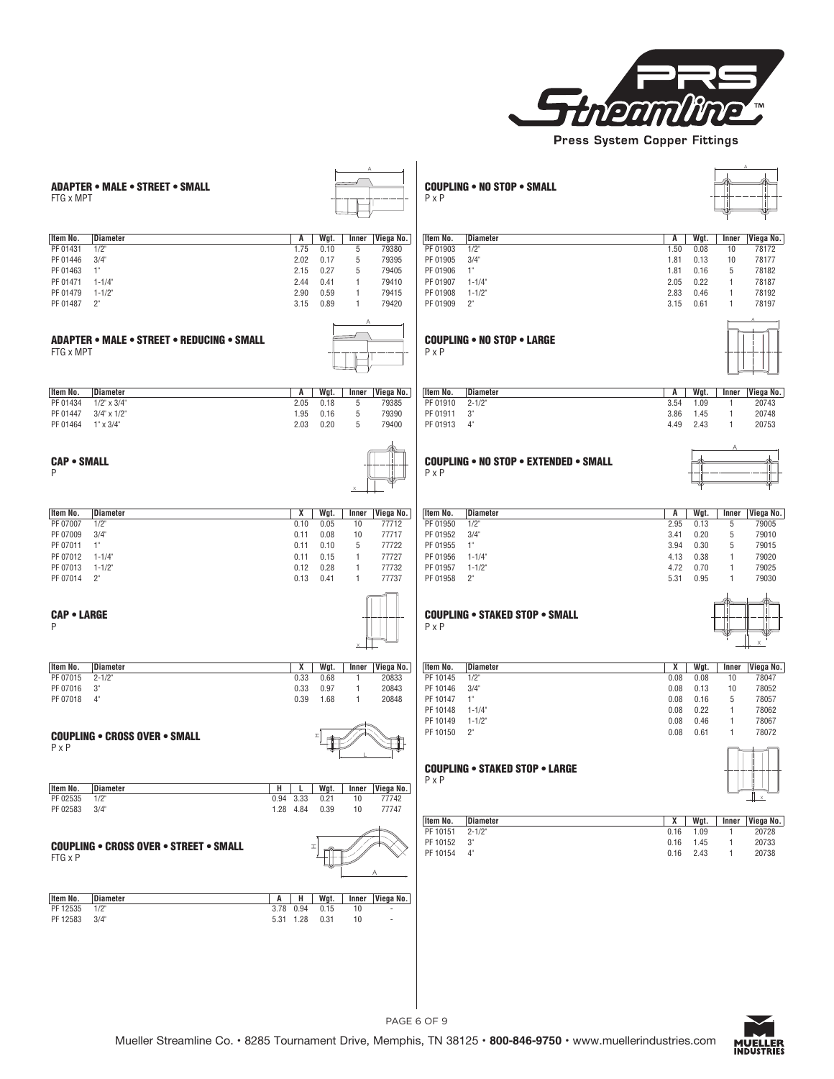

| <b>ADAPTER • MALE • STREET • SMALL</b>                                                                                                                                                                                                                                                                                                                                                                    | <b>COUPLING • NO STOP • SMALL</b>                                                                                                                                                                                                                                                                                                                                                                                                            |
|-----------------------------------------------------------------------------------------------------------------------------------------------------------------------------------------------------------------------------------------------------------------------------------------------------------------------------------------------------------------------------------------------------------|----------------------------------------------------------------------------------------------------------------------------------------------------------------------------------------------------------------------------------------------------------------------------------------------------------------------------------------------------------------------------------------------------------------------------------------------|
| FTG x MPT                                                                                                                                                                                                                                                                                                                                                                                                 | $P \times P$                                                                                                                                                                                                                                                                                                                                                                                                                                 |
| Diameter                                                                                                                                                                                                                                                                                                                                                                                                  | Item No.                                                                                                                                                                                                                                                                                                                                                                                                                                     |
| A                                                                                                                                                                                                                                                                                                                                                                                                         | Diameter                                                                                                                                                                                                                                                                                                                                                                                                                                     |
| Wgt.                                                                                                                                                                                                                                                                                                                                                                                                      | Wgt.                                                                                                                                                                                                                                                                                                                                                                                                                                         |
| Viega No.                                                                                                                                                                                                                                                                                                                                                                                                 | Viega No.                                                                                                                                                                                                                                                                                                                                                                                                                                    |
| ltem No.                                                                                                                                                                                                                                                                                                                                                                                                  | A                                                                                                                                                                                                                                                                                                                                                                                                                                            |
| Inner                                                                                                                                                                                                                                                                                                                                                                                                     | Inner                                                                                                                                                                                                                                                                                                                                                                                                                                        |
| PF 01431                                                                                                                                                                                                                                                                                                                                                                                                  | PF 01903                                                                                                                                                                                                                                                                                                                                                                                                                                     |
| $1/2$ "                                                                                                                                                                                                                                                                                                                                                                                                   | $1/2$ "                                                                                                                                                                                                                                                                                                                                                                                                                                      |
| 1.75                                                                                                                                                                                                                                                                                                                                                                                                      | 1.50                                                                                                                                                                                                                                                                                                                                                                                                                                         |
| 0.10                                                                                                                                                                                                                                                                                                                                                                                                      | 0.08                                                                                                                                                                                                                                                                                                                                                                                                                                         |
| 5                                                                                                                                                                                                                                                                                                                                                                                                         | 10                                                                                                                                                                                                                                                                                                                                                                                                                                           |
| 79380                                                                                                                                                                                                                                                                                                                                                                                                     | 78172                                                                                                                                                                                                                                                                                                                                                                                                                                        |
| 5                                                                                                                                                                                                                                                                                                                                                                                                         | PF 01905                                                                                                                                                                                                                                                                                                                                                                                                                                     |
| 3/4"                                                                                                                                                                                                                                                                                                                                                                                                      | 3/4"                                                                                                                                                                                                                                                                                                                                                                                                                                         |
| 2.02                                                                                                                                                                                                                                                                                                                                                                                                      | 0.13                                                                                                                                                                                                                                                                                                                                                                                                                                         |
| 0.17                                                                                                                                                                                                                                                                                                                                                                                                      | 10                                                                                                                                                                                                                                                                                                                                                                                                                                           |
| 79395                                                                                                                                                                                                                                                                                                                                                                                                     | 78177                                                                                                                                                                                                                                                                                                                                                                                                                                        |
| PF 01446                                                                                                                                                                                                                                                                                                                                                                                                  | 1.81                                                                                                                                                                                                                                                                                                                                                                                                                                         |
| PF 01463                                                                                                                                                                                                                                                                                                                                                                                                  | PF 01906                                                                                                                                                                                                                                                                                                                                                                                                                                     |
| $1^{\circ}$                                                                                                                                                                                                                                                                                                                                                                                               | $1^{\circ}$                                                                                                                                                                                                                                                                                                                                                                                                                                  |
| 2.15                                                                                                                                                                                                                                                                                                                                                                                                      | 5                                                                                                                                                                                                                                                                                                                                                                                                                                            |
| 0.27                                                                                                                                                                                                                                                                                                                                                                                                      | 78182                                                                                                                                                                                                                                                                                                                                                                                                                                        |
| 5                                                                                                                                                                                                                                                                                                                                                                                                         | 1.81                                                                                                                                                                                                                                                                                                                                                                                                                                         |
| 79405                                                                                                                                                                                                                                                                                                                                                                                                     | 0.16                                                                                                                                                                                                                                                                                                                                                                                                                                         |
| PF 01471                                                                                                                                                                                                                                                                                                                                                                                                  | PF 01907                                                                                                                                                                                                                                                                                                                                                                                                                                     |
| $1 - 1/4$ "                                                                                                                                                                                                                                                                                                                                                                                               | $1 - 1/4$                                                                                                                                                                                                                                                                                                                                                                                                                                    |
| 2.44                                                                                                                                                                                                                                                                                                                                                                                                      | 2.05                                                                                                                                                                                                                                                                                                                                                                                                                                         |
| 0.41                                                                                                                                                                                                                                                                                                                                                                                                      | 0.22                                                                                                                                                                                                                                                                                                                                                                                                                                         |
| 1                                                                                                                                                                                                                                                                                                                                                                                                         | 78187                                                                                                                                                                                                                                                                                                                                                                                                                                        |
| 79410                                                                                                                                                                                                                                                                                                                                                                                                     | 1                                                                                                                                                                                                                                                                                                                                                                                                                                            |
| PF 01479                                                                                                                                                                                                                                                                                                                                                                                                  | $1 - 1/2"$                                                                                                                                                                                                                                                                                                                                                                                                                                   |
| $1 - 1/2"$                                                                                                                                                                                                                                                                                                                                                                                                | 0.46                                                                                                                                                                                                                                                                                                                                                                                                                                         |
| 2.90                                                                                                                                                                                                                                                                                                                                                                                                      | 78192                                                                                                                                                                                                                                                                                                                                                                                                                                        |
| 0.59                                                                                                                                                                                                                                                                                                                                                                                                      | PF 01908                                                                                                                                                                                                                                                                                                                                                                                                                                     |
| 79415                                                                                                                                                                                                                                                                                                                                                                                                     | 2.83                                                                                                                                                                                                                                                                                                                                                                                                                                         |
| $\mathbf{1}$                                                                                                                                                                                                                                                                                                                                                                                              | $\mathbf{1}$                                                                                                                                                                                                                                                                                                                                                                                                                                 |
| PF 01487                                                                                                                                                                                                                                                                                                                                                                                                  | PF 01909                                                                                                                                                                                                                                                                                                                                                                                                                                     |
| $2^{\circ}$                                                                                                                                                                                                                                                                                                                                                                                               | $2^{\circ}$                                                                                                                                                                                                                                                                                                                                                                                                                                  |
| 0.89                                                                                                                                                                                                                                                                                                                                                                                                      | 78197                                                                                                                                                                                                                                                                                                                                                                                                                                        |
| 79420                                                                                                                                                                                                                                                                                                                                                                                                     | 3.15                                                                                                                                                                                                                                                                                                                                                                                                                                         |
| 3.15                                                                                                                                                                                                                                                                                                                                                                                                      | 0.61                                                                                                                                                                                                                                                                                                                                                                                                                                         |
| 1                                                                                                                                                                                                                                                                                                                                                                                                         | $\mathbf{1}$                                                                                                                                                                                                                                                                                                                                                                                                                                 |
| <b>ADAPTER • MALE • STREET • REDUCING • SMALL</b>                                                                                                                                                                                                                                                                                                                                                         | <b>COUPLING . NO STOP . LARGE</b>                                                                                                                                                                                                                                                                                                                                                                                                            |
| FTG x MPT                                                                                                                                                                                                                                                                                                                                                                                                 | $P \times P$                                                                                                                                                                                                                                                                                                                                                                                                                                 |
| Item No.<br>Diameter<br>А<br>Wgt.<br>Inner<br>Viega No.<br>$1/2$ " x $3/4$ "<br>2.05<br>0.18<br>5<br>79385<br>PF 01434<br>5<br>$3/4$ " x $1/2$ "<br>1.95<br>0.16<br>79390<br>PF 01447<br>PF 01464 1" x 3/4"<br>2.03<br>0.20<br>5<br>79400                                                                                                                                                                 | Item No.<br>Diameter<br>A<br>Wgt.<br>Viega No.<br>Inner<br>3.54<br>PF 01910<br>$2 - 1/2"$<br>1.09<br>20743<br>-1<br>PF 01911<br>$3^{\circ}$<br>3.86<br>$\mathbf{1}$<br>20748<br>1.45<br>PF 01913<br>$4^{\circ}$<br>4.49<br>2.43<br>$\mathbf{1}$<br>20753                                                                                                                                                                                     |
| <b>CAP • SMALL</b>                                                                                                                                                                                                                                                                                                                                                                                        | <b>COUPLING . NO STOP . EXTENDED . SMALL</b>                                                                                                                                                                                                                                                                                                                                                                                                 |
| P                                                                                                                                                                                                                                                                                                                                                                                                         | $P \times P$                                                                                                                                                                                                                                                                                                                                                                                                                                 |
| Viega No.<br>ltem No.<br>Diameter<br>X<br>Wgt.<br>Inner<br>PF 07007<br>0.10<br>0.05<br>77712<br>1/2"<br>10<br>PF 07009<br>3/4"<br>0.08<br>10<br>77717<br>0.11<br>PF 07011<br>$1^{\circ}$<br>0.10<br>5<br>77722<br>0.11<br>77727<br>PF 07012<br>0.15<br>1-1/4"<br>0.11<br>$\mathbf{1}$<br>PF 07013 1-1/2"<br>0.12<br>0.28<br>77732<br>$\mathbf{1}$<br>PF 07014 2"<br>0.13<br>0.41<br>$\mathbf{1}$<br>77737 | Wgt.<br>Viega No.<br>Item No.<br>Diameter<br>A<br>Inner<br>PF 01950<br>$1/2$ "<br>2.95<br>0.13<br>5<br>79005<br>PF 01952<br>3/4"<br>3.41<br>0.20<br>5<br>79010<br>PF 01955<br>$1^{\circ}$<br>3.94<br>0.30<br>5<br>79015<br>79020<br>PF 01956<br>0.38<br>$1 - 1/4$<br>4.13<br>1<br>PF 01957<br>$1 - 1/2$<br>4.72<br>0.70<br>$\mathbf{1}$<br>79025<br>$2^{\circ}$<br>0.95<br>PF 01958<br>5.31<br>$\mathbf{1}$<br>79030                         |
| <b>CAP . LARGE</b>                                                                                                                                                                                                                                                                                                                                                                                        | <b>COUPLING • STAKED STOP • SMALL</b>                                                                                                                                                                                                                                                                                                                                                                                                        |
| P                                                                                                                                                                                                                                                                                                                                                                                                         | $P \times P$                                                                                                                                                                                                                                                                                                                                                                                                                                 |
| Item No.<br><b>Diameter</b><br>Х<br>Wgt.<br>Viega No.<br>Inner<br>0.33<br>PF 07015<br>$2 - 1/2"$<br>0.68<br>$\mathbf{1}$<br>20833<br>PF 07016<br>$3^{\circ}$<br>0.33<br>0.97<br>$\mathbf{1}$<br>20843<br>PF 07018<br>$4^{\circ}$<br>0.39<br>1.68<br>$\mathbf{1}$<br>20848<br><b>COUPLING . CROSS OVER . SMALL</b><br>$P \times P$                                                                         | Item No.<br><b>Diameter</b><br>X<br>Wgt.<br>Viega No.<br>Inner<br>0.08<br>PF 10145<br>$1/2$ "<br>0.08<br>10<br>78047<br>PF 10146<br>3/4"<br>0.08<br>0.13<br>10<br>78052<br>PF 10147<br>$1^{\circ}$<br>0.08<br>0.16<br>5<br>78057<br>78062<br>PF 10148<br>$1 - 1/4$ "<br>0.08<br>0.22<br>$\overline{1}$<br>PF 10149<br>$1 - 1/2$<br>0.08<br>0.46<br>$\mathbf{1}$<br>78067<br>$2^{\circ}$<br>78072<br>PF 10150<br>0.08<br>0.61<br>$\mathbf{1}$ |
| Item No.<br><b>Diameter</b><br>н<br>Wgt.<br>Viega No.<br>L<br>Inner<br>PF 02535<br>$1/2$ "<br>0.94 3.33<br>0.21<br>77742<br>10<br>PF 02583<br>3/4"<br>77747<br>1.28 4.84<br>0.39<br>10<br><b>COUPLING . CROSS OVER . STREET . SMALL</b><br>FTG x P                                                                                                                                                        | <b>COUPLING . STAKED STOP . LARGE</b><br>$P \times P$<br><b>Diameter</b><br>X<br>Wgt.<br>Inner<br>Viega No.<br>Item No.<br>PF 10151<br>$2 - 1/2"$<br>0.16<br>20728<br>1.09<br>-1<br>3 <sup>°</sup><br>20733<br>PF 10152<br>1.45<br>0.16<br>$\mathbf{1}$<br>$4^{\circ}$<br>PF 10154<br>2.43<br>$\mathbf{1}$<br>20738<br>0.16                                                                                                                  |
| Viega No.<br>ltem No.<br>Diameter<br>A<br>н<br>Wgt.<br>Inner<br>PF 12535<br>1/2"<br>3.78 0.94<br>0.15<br>10<br>PF 12583<br>3/4"<br>5.31 1.28<br>0.31<br>10                                                                                                                                                                                                                                                |                                                                                                                                                                                                                                                                                                                                                                                                                                              |

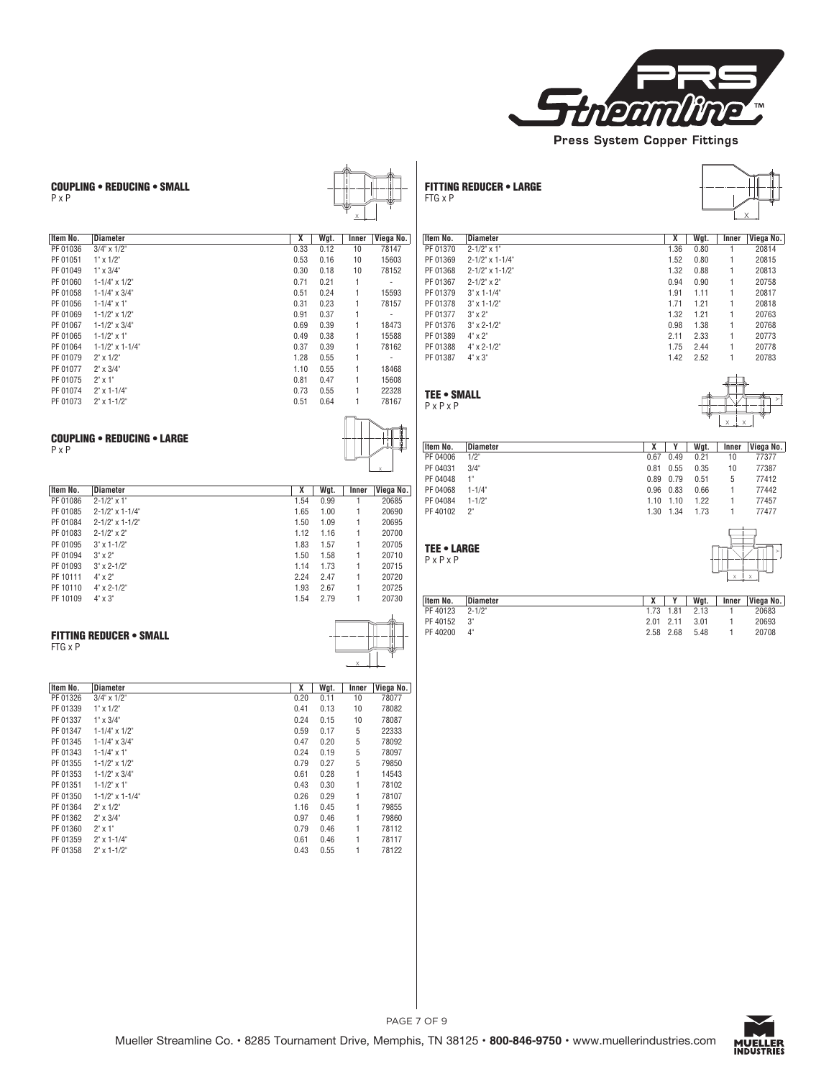

| <b>COUPLING • REDUCING • SMALL</b><br>$P \times P$                                                                                                                                                                                                                                                                                                                                                                                                                                                                                                  |                                                                                                                                                                                                                                                                                                                                                                                                                                                                                                                                       | <b>FITTING REDUCER • LARGE</b><br>FTG x P                                                                                                                                                                                                                                                                                                                                                                                               |                                                                                                                                                                                                                                                                                                                                                                                                                                      |
|-----------------------------------------------------------------------------------------------------------------------------------------------------------------------------------------------------------------------------------------------------------------------------------------------------------------------------------------------------------------------------------------------------------------------------------------------------------------------------------------------------------------------------------------------------|---------------------------------------------------------------------------------------------------------------------------------------------------------------------------------------------------------------------------------------------------------------------------------------------------------------------------------------------------------------------------------------------------------------------------------------------------------------------------------------------------------------------------------------|-----------------------------------------------------------------------------------------------------------------------------------------------------------------------------------------------------------------------------------------------------------------------------------------------------------------------------------------------------------------------------------------------------------------------------------------|--------------------------------------------------------------------------------------------------------------------------------------------------------------------------------------------------------------------------------------------------------------------------------------------------------------------------------------------------------------------------------------------------------------------------------------|
| Item No.<br><b>Diameter</b><br>PF 01036<br>$3/4$ " x $1/2$ "<br>PF 01051<br>$1^{\circ} \times 1/2^{\circ}$<br>PF 01049<br>$1^* \times 3/4^*$<br>PF 01060<br>$1 - 1/4$ " x $1/2$ "<br>PF 01058<br>$1 - 1/4$ " $\times$ 3/4"<br>PF 01056<br>$1 - 1/4$ " x 1"<br>PF 01069<br>$1 - 1/2$ " x $1/2$ "<br>PF 01067<br>$1 - 1/2$ " x $3/4$ "<br>PF 01065<br>$1 - 1/2$ " x 1"<br>PF 01064<br>1-1/2" x 1-1/4"<br>PF 01079<br>$2" \times 1/2"$<br>PF 01077<br>$2" \times 3/4"$                                                                                 | X<br>Wgt.<br>Inner<br>Viega No.<br>0.33<br>0.12<br>10<br>78147<br>0.53<br>0.16<br>10<br>15603<br>0.30<br>0.18<br>10<br>78152<br>0.71<br>0.21<br>1<br>$\sim$<br>0.51<br>0.24<br>15593<br>$\mathbf{1}$<br>0.23<br>0.31<br>78157<br>$\mathbf{1}$<br>0.91<br>0.37<br>$\sim$<br>1<br>0.69<br>0.39<br>$\mathbf{1}$<br>18473<br>0.49<br>0.38<br>15588<br>$\mathbf{1}$<br>0.37<br>0.39<br>$\mathbf{1}$<br>78162<br>1.28<br>0.55<br>$\mathbf{1}$<br>$\sim$<br>1.10<br>0.55<br>$\mathbf{1}$<br>18468                                            | Item No.<br><b>Diameter</b><br>PF 01370<br>$2 - 1/2" \times 1"$<br>PF 01369<br>2-1/2" x 1-1/4"<br>PF 01368<br>2-1/2" x 1-1/2"<br>$2 - 1/2" \times 2"$<br>PF 01367<br>PF 01379<br>$3" \times 1 - 1/4"$<br>PF 01378<br>$3" \times 1 - 1/2"$<br>PF 01377<br>$3" \times 2"$<br>PF 01376<br>$3" \times 2 - 1/2"$<br>PF 01389<br>$4" \times 2"$<br>PF 01388<br>$4^{\circ} \times 2 - 1/2^{\circ}$<br>PF 01387<br>$4^{\circ} \times 3^{\circ}$ | X<br>Wgt.<br>Inner<br>Viega No.<br>1.36<br>0.80<br>20814<br>1<br>1.52<br>0.80<br>$\overline{1}$<br>20815<br>1.32<br>0.88<br>$\mathbf{1}$<br>20813<br>0.94<br>0.90<br>20758<br>1<br>1.91<br>1.11<br>20817<br>$\mathbf{1}$<br>1.71<br>1.21<br>1<br>20818<br>1.32<br>1.21<br>20763<br>$\mathbf{1}$<br>0.98<br>1.38<br>1<br>20768<br>2.11<br>2.33<br>20773<br>$\overline{1}$<br>1.75<br>2.44<br>1<br>20778<br>2.52<br>20783<br>1.42<br>1 |
| PF 01075<br>$2^{\circ} \times 1^{\circ}$<br>PF 01074<br>$2" \times 1 - 1/4"$<br>PF 01073<br>$2" \times 1 - 1/2"$<br><b>COUPLING . REDUCING . LARGE</b>                                                                                                                                                                                                                                                                                                                                                                                              | 0.81<br>15608<br>0.47<br>$\mathbf{1}$<br>0.73<br>0.55<br>22328<br>$\mathbf{1}$<br>0.51<br>0.64<br>78167<br>1                                                                                                                                                                                                                                                                                                                                                                                                                          | <b>TEE • SMALL</b><br>$P \times P \times P$                                                                                                                                                                                                                                                                                                                                                                                             |                                                                                                                                                                                                                                                                                                                                                                                                                                      |
| $P \times P$<br><b>Diameter</b><br>Item No.<br>PF 01086<br>$2 - 1/2" \times 1"$<br>PF 01085<br>2-1/2" x 1-1/4"<br>2-1/2" x 1-1/2"<br>PF 01084<br>PF 01083<br>$2 - 1/2" \times 2"$<br>PF 01095<br>$3" \times 1 - 1/2"$<br>PF 01094<br>$3" \times 2"$<br>PF 01093<br>$3" \times 2 - 1/2"$<br>PF 10111<br>$4" \times 2"$<br>PF 10110<br>$4" \times 2 - 1/2"$<br>PF 10109<br>$4^{\circ} \times 3^{\circ}$                                                                                                                                               | X<br>Wgt.<br>Viega No.<br>Inner<br>1.54<br>0.99<br>20685<br>$\mathbf{1}$<br>1.65<br>1.00<br>$\mathbf{1}$<br>20690<br>1.50<br>1.09<br>$\mathbf{1}$<br>20695<br>1.16<br>20700<br>1.12<br>$\mathbf{1}$<br>1.57<br>1.83<br>$\mathbf{1}$<br>20705<br>1.50<br>1.58<br>20710<br>$\mathbf{1}$<br>1.73<br>20715<br>1.14<br>$\mathbf{1}$<br>2.24<br>2.47<br>$\mathbf{1}$<br>20720<br>1.93<br>2.67<br>$\mathbf{1}$<br>20725<br>2.79<br>20730<br>1.54<br>$\mathbf{1}$                                                                             | Item No.<br><b>Diameter</b><br>PF 04006<br>$1/2$ "<br>PF 04031<br>3/4"<br>PF 04048<br>$1^{\circ}$<br>PF 04068<br>$1 - 1/4$<br>PF 04084<br>$1 - 1/2$<br>PF 40102 2"<br><b>TEE • LARGE</b><br>$P \times P \times P$<br>Item No.<br>Diameter                                                                                                                                                                                               | $\overline{\mathbf{x}}$<br>Y<br>Wgt.<br>Inner<br>Viega No.<br>0.67<br>0.49<br>0.21<br>77377<br>10<br>0.81<br>0.55<br>10<br>0.35<br>77387<br>0.79<br>5<br>0.89<br>0.51<br>77412<br>0.96<br>0.83<br>77442<br>0.66<br>1<br>1.10<br>1.10<br>1.22<br>1<br>77457<br>1.30 1.34<br>1.73<br>$\mathbf{1}$<br>77477<br>X<br>Y<br>Wgt.<br>Inner<br>Viega No.                                                                                     |
| <b>FITTING REDUCER • SMALL</b><br>FTG x P                                                                                                                                                                                                                                                                                                                                                                                                                                                                                                           |                                                                                                                                                                                                                                                                                                                                                                                                                                                                                                                                       | PF 40123<br>$2 - 1/2$<br>PF 40152<br>$3^{\circ}$<br>PF 40200<br>$4^{\circ}$                                                                                                                                                                                                                                                                                                                                                             | 1.73<br>1.81<br>2.13<br>1<br>20683<br>2.01<br>2.11<br>3.01<br>$\overline{1}$<br>20693<br>2.58 2.68<br>5.48<br>$\mathbf{1}$<br>20708                                                                                                                                                                                                                                                                                                  |
| Item No.<br><b>Diameter</b><br>PF 01326<br>$3/4$ " x $1/2$ "<br>PF 01339<br>$1" \times 1/2"$<br>PF 01337<br>$1" \times 3/4"$<br>PF 01347<br>$1 - 1/4$ " x $1/2$ "<br>PF 01345<br>$1 - 1/4$ " x $3/4$ "<br>PF 01343<br>$1 - 1/4$ " x 1"<br>PF 01355<br>$1 - 1/2$ " x $1/2$ "<br>PF 01353<br>$1 - 1/2$ " x $3/4$ "<br>PF 01351<br>$1 - 1/2$ " x 1"<br>PF 01350<br>$1 - 1/2$ " x $1 - 1/4$ "<br>PF 01364<br>$2" \times 1/2"$<br>PF 01362<br>$2" \times 3/4"$<br>PF 01360<br>$2" \times 1"$<br>PF 01359<br>$2" \times 1 - 1/4"$<br>PF 01358 2" x 1-1/2" | X<br>Wqt.<br>Inner   Viega No.<br>0.20<br>78077<br>0.11<br>10<br>0.41<br>0.13<br>10<br>78082<br>0.24<br>78087<br>0.15<br>10<br>0.59<br>0.17<br>5<br>22333<br>0.20<br>78092<br>0.47<br>5<br>0.24<br>0.19<br>5<br>78097<br>5<br>0.79<br>0.27<br>79850<br>0.28<br>0.61<br>14543<br>1<br>0.43<br>0.30<br>$\mathbf{1}$<br>78102<br>0.26<br>0.29<br>78107<br>1<br>0.45<br>79855<br>1.16<br>1<br>0.97<br>0.46<br>79860<br>1<br>0.79<br>0.46<br>78112<br>-1<br>0.61<br>0.46<br>$\mathbf{1}$<br>78117<br>0.55<br>0.43<br>$\mathbf{1}$<br>78122 |                                                                                                                                                                                                                                                                                                                                                                                                                                         |                                                                                                                                                                                                                                                                                                                                                                                                                                      |

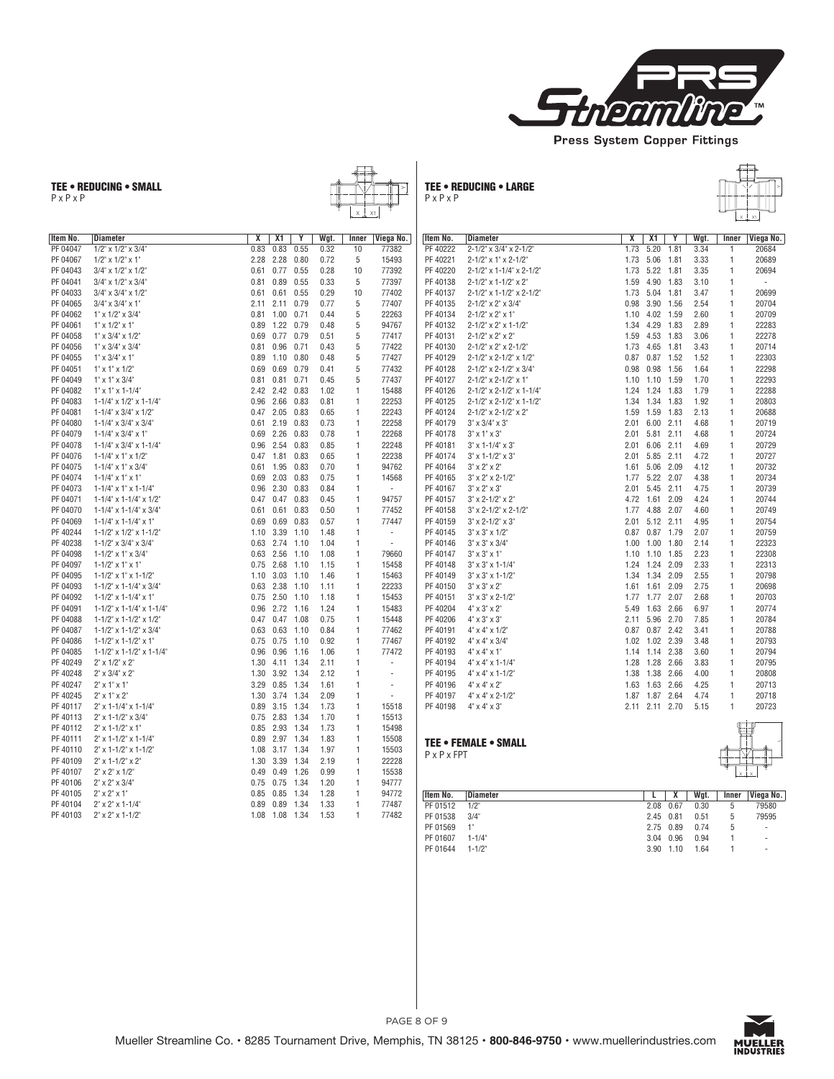

TEE • REDUCING • SMALL P x P x P



TEE • REDUCING • LARGE P x P x P



| Item No. | <b>Diameter</b>                         | Χ    | X1   | Y    | Wgt. | Inner        | Viega No. |
|----------|-----------------------------------------|------|------|------|------|--------------|-----------|
| PF 04047 | 1/2" x 1/2" x 3/4"                      | 0.83 | 0.83 | 0.55 | 0.32 | 10           | 77382     |
| PF 04067 | $1/2$ " x $1/2$ " x $1$ "               | 2.28 | 2.28 | 0.80 | 0.72 | 5            | 15493     |
| PF 04043 | $3/4$ " x $1/2$ " x $1/2$ "             | 0.61 | 0.77 | 0.55 | 0.28 | 10           | 77392     |
| PF 04041 | $3/4$ " x $1/2$ " x $3/4$ "             | 0.81 | 0.89 | 0.55 | 0.33 | 5            | 77397     |
| PF 04033 | $3/4$ " x $3/4$ " x $1/2$ "             | 0.61 | 0.61 | 0.55 | 0.29 | 10           | 77402     |
| PF 04065 | $3/4$ " x $3/4$ " x $1$ "               | 2.11 | 2.11 | 0.79 | 0.77 | 5            | 77407     |
| PF 04062 | $1$ " x $1/2$ " x $3/4$ "               | 0.81 | 1.00 | 0.71 | 0.44 | 5            | 22263     |
| PF 04061 | $1" \times 1/2" \times 1"$              | 0.89 | 1.22 | 0.79 | 0.48 | 5            | 94767     |
| PF 04058 | $1$ " x $3/4$ " x $1/2$ "               | 0.69 | 0.77 | 0.79 | 0.51 | 5            | 77417     |
| PF 04056 | $1$ " x $3/4$ " x $3/4$ "               | 0.81 | 0.96 | 0.71 | 0.43 | 5            | 77422     |
| PF 04055 | $1" \times 3/4" \times 1"$              | 0.89 | 1.10 | 0.80 | 0.48 | 5            | 77427     |
| PF 04051 | $1$ " x $1$ " x $1/2$ "                 | 0.69 | 0.69 | 0.79 | 0.41 | 5            | 77432     |
| PF 04049 | $1" \times 1" \times 3/4"$              | 0.81 | 0.81 | 0.71 | 0.45 | 5            | 77437     |
| PF 04082 | $1$ " x $1$ " x $1 - 1/4$ "             | 2.42 | 2.42 | 0.83 | 1.02 | 1            | 15488     |
| PF 04083 | $1 - 1/4$ " x $1/2$ " x $1 - 1/4$ "     | 0.96 | 2.66 | 0.83 | 0.81 | 1            | 22253     |
| PF 04081 | $1 - 1/4$ x $3/4$ x $1/2$               | 0.47 | 2.05 | 0.83 | 0.65 | 1            | 22243     |
| PF 04080 | $1 - 1/4$ $\times$ 3/4" $\times$ 3/4"   | 0.61 | 2.19 | 0.83 | 0.73 | 1            | 22258     |
| PF 04079 | $1 - 1/4$ x $3/4$ x $1$                 | 0.69 | 2.26 | 0.83 | 0.78 | 1            | 22268     |
| PF 04078 | $1 - 1/4$ x $3/4$ x $1 - 1/4$           | 0.96 | 2.54 | 0.83 | 0.85 | 1            | 22248     |
| PF 04076 | $1 - 1/4$ x $1$ x $1/2$                 | 0.47 | 1.81 | 0.83 | 0.65 | 1            | 22238     |
| PF 04075 | $1 - 1/4$ x $1$ x $3/4$                 | 0.61 | 1.95 | 0.83 | 0.70 | 1            | 94762     |
| PF 04074 | $1 - 1/4$ x $1$ x $1$ "                 | 0.69 | 2.03 | 0.83 | 0.75 | 1            | 14568     |
| PF 04073 | $1 - 1/4$ " x $1$ " x $1 - 1/4$ "       | 0.96 | 2.30 | 0.83 | 0.84 | 1            | ä,        |
| PF 04071 | $1 - 1/4$ " x $1 - 1/4$ " x $1/2$ "     | 0.47 | 0.47 | 0.83 | 0.45 | 1            | 94757     |
| PF 04070 | $1 - 1/4$ x $1 - 1/4$ x $3/4$           | 0.61 | 0.61 | 0.83 | 0.50 | 1            | 77452     |
| PF 04069 | $1 - 1/4$ " x $1 - 1/4$ " x $1$ "       | 0.69 | 0.69 | 0.83 | 0.57 | 1            | 77447     |
| PF 40244 | $1 - 1/2$ " x $1/2$ " x $1 - 1/2$ "     | 1.10 | 3.39 | 1.10 | 1.48 | $\mathbf{1}$ | ÷         |
| PF 40238 | $1 - 1/2$ x 3/4" x 3/4"                 | 0.63 | 2.74 | 1.10 | 1.04 | 1            | i,        |
| PF 04098 | $1 - 1/2$ " x $1$ " x $3/4$ "           | 0.63 | 2.56 | 1.10 | 1.08 | 1            | 79660     |
| PF 04097 | $1 - 1/2$ " x $1$ " x $1$ "             | 0.75 | 2.68 | 1.10 | 1.15 | 1            | 15458     |
| PF 04095 | $1 - 1/2$ " x $1$ " x $1 - 1/2$ "       | 1.10 | 3.03 | 1.10 | 1.46 | 1            | 15463     |
| PF 04093 | $1 - 1/2$ " x $1 - 1/4$ " x $3/4$ "     | 0.63 | 2.38 | 1.10 | 1.11 | 1            | 22233     |
| PF 04092 | $1 - 1/2$ " x $1 - 1/4$ " x $1$ "       | 0.75 | 2.50 | 1.10 | 1.18 | 1            | 15453     |
| PF 04091 | $1 - 1/2$ " x $1 - 1/4$ " x $1 - 1/4$ " | 0.96 | 2.72 | 1.16 | 1.24 | 1            | 15483     |
| PF 04088 | $1 - 1/2$ " x $1 - 1/2$ " x $1/2$ "     | 0.47 | 0.47 | 1.08 | 0.75 | 1            | 15448     |
| PF 04087 | $1 - 1/2$ " x $1 - 1/2$ " x $3/4$ "     | 0.63 | 0.63 | 1.10 | 0.84 | 1            | 77462     |
| PF 04086 | $1 - 1/2$ " x $1 - 1/2$ " x $1$ "       | 0.75 | 0.75 | 1.10 | 0.92 | 1            | 77467     |
| PF 04085 | $1 - 1/2$ " x $1 - 1/2$ " x $1 - 1/4$ " | 0.96 | 0.96 | 1.16 | 1.06 | 1            | 77472     |
| PF 40249 | $2" \times 1/2" \times 2"$              | 1.30 | 4.11 | 1.34 | 2.11 | 1            | ÷         |
| PF 40248 | $2" \times 3/4" \times 2"$              | 1.30 | 3.92 | 1.34 | 2.12 | 1            | ä,        |
| PF 40247 | $2" \times 1" \times 1"$                | 3.29 | 0.85 | 1.34 | 1.61 | 1            | ä,        |
| PF 40245 | $2" \times 1" \times 2"$                | 1.30 | 3.74 | 1.34 | 2.09 | 1            | ä,        |
| PF 40117 | 2" x 1-1/4" x 1-1/4"                    | 0.89 | 3.15 | 1.34 | 1.73 | 1            | 15518     |
| PF 40113 | 2" x 1-1/2" x 3/4"                      | 0.75 | 2.83 | 1.34 | 1.70 | 1            | 15513     |
| PF 40112 | $2" \times 1 - 1/2" \times 1"$          | 0.85 | 2.93 | 1.34 | 1.73 | 1            | 15498     |
| PF 40111 | 2" x 1-1/2" x 1-1/4"                    | 0.89 | 2.97 | 1.34 | 1.83 | 1            | 15508     |
| PF 40110 | 2" x 1-1/2" x 1-1/2"                    | 1.08 | 3.17 | 1.34 | 1.97 | 1            | 15503     |
| PF 40109 | 2" x 1-1/2" x 2"                        | 1.30 | 3.39 | 1.34 | 2.19 | 1            | 22228     |
| PF 40107 | $2" \times 2" \times 1/2"$              | 0.49 | 0.49 | 1.26 | 0.99 | 1            | 15538     |
| PF 40106 | $2" \times 2" \times 3/4"$              | 0.75 | 0.75 | 1.34 | 1.20 | 1            | 94777     |
| PF 40105 | $2" \times 2" \times 1"$                | 0.85 | 0.85 | 1.34 | 1.28 | 1            | 94772     |
| PF 40104 | $2" \times 2" \times 1 - 1/4"$          | 0.89 | 0.89 | 1.34 | 1.33 | 1            | 77487     |
| PF 40103 | $2" \times 2" \times 1 - 1/2"$          | 1.08 | 1.08 | 1.34 | 1.53 | 1            | 77482     |
|          |                                         |      |      |      |      |              |           |

| Item No.                | <b>Diameter</b>                       | X    | X1   | Y    | Wgt. | Inner | Viega No. |
|-------------------------|---------------------------------------|------|------|------|------|-------|-----------|
| PF 40222                | 2-1/2" x 3/4" x 2-1/2"                | 1.73 | 5.20 | 1.81 | 3.34 | 1     | 20684     |
| PF 40221                | 2-1/2" x 1" x 2-1/2"                  | 1.73 | 5.06 | 1.81 | 3.33 | 1     | 20689     |
| PF 40220                | 2-1/2" x 1-1/4" x 2-1/2"              | 1.73 | 5.22 | 1.81 | 3.35 | 1     | 20694     |
| PF 40138                | 2-1/2" x 1-1/2" x 2"                  | 1.59 | 4.90 | 1.83 | 3.10 | 1     | ä,        |
| PF 40137                | 2-1/2" x 1-1/2" x 2-1/2"              | 1.73 | 5.04 | 1.81 | 3.47 | 1     | 20699     |
| PF 40135                | 2-1/2" x 2" x 3/4"                    | 0.98 | 3.90 | 1.56 | 2.54 | 1     | 20704     |
| PF 40134                | $2 - 1/2$ " x $2$ " x $1$ "           | 1.10 | 4.02 | 1.59 | 2.60 | 1     | 20709     |
| PF 40132                | 2-1/2" x 2" x 1-1/2"                  | 1.34 | 4.29 | 1.83 | 2.89 | 1     | 22283     |
| PF 40131                | $2 - 1/2$ " $\times 2$ " $\times 2$ " | 1.59 | 4.53 | 1.83 | 3.06 | 1     | 22278     |
| PF 40130                | 2-1/2" x 2" x 2-1/2"                  | 1.73 | 4.65 | 1.81 | 3.43 | 1     | 20714     |
| PF 40129                | 2-1/2" x 2-1/2" x 1/2"                | 0.87 | 0.87 | 1.52 | 1.52 | 1     | 22303     |
| PF 40128                | 2-1/2" x 2-1/2" x 3/4"                | 0.98 | 0.98 | 1.56 | 1.64 | 1     | 22298     |
| PF 40127                | 2-1/2" x 2-1/2" x 1"                  | 1.10 | 1.10 | 1.59 | 1.70 | 1     | 22293     |
| PF 40126                | 2-1/2" x 2-1/2" x 1-1/4"              | 1.24 | 1.24 | 1.83 | 1.79 | 1     | 22288     |
| PF 40125                | 2-1/2" x 2-1/2" x 1-1/2"              | 1.34 | 1.34 | 1.83 | 1.92 | 1     | 20803     |
| PF 40124                | 2-1/2" x 2-1/2" x 2"                  | 1.59 | 1.59 | 1.83 | 2.13 | 1     | 20688     |
| PF 40179                | $3" \times 3/4" \times 3"$            | 2.01 | 6.00 | 2.11 | 4.68 | 1     | 20719     |
| PF 40178                | $3" \times 1" \times 3"$              | 2.01 | 5.81 | 2.11 | 4.68 | 1     | 20724     |
| PF 40181                | $3" \times 1 - 1/4" \times 3"$        | 2.01 | 6.06 | 2.11 | 4.69 | 1     | 20729     |
| PF 40174                | $3" \times 1 - 1/2" \times 3"$        | 2.01 | 5.85 | 2.11 | 4.72 | 1     | 20727     |
| PF 40164                | $3" \times 2" \times 2"$              | 1.61 | 5.06 | 2.09 | 4.12 | 1     | 20732     |
| PF 40165                | $3" \times 2" \times 2 - 1/2"$        | 1.77 | 5.22 | 2.07 | 4.38 | 1     | 20734     |
| PF 40167                | $3" \times 2" \times 3"$              | 2.01 | 5.45 | 2.11 | 4.75 | 1     | 20739     |
| PF 40157                | $3" \times 2 - 1/2" \times 2"$        | 4.72 | 1.61 | 2.09 | 4.24 | 1     | 20744     |
| PF 40158                | 3" x 2-1/2" x 2-1/2"                  | 1.77 | 4.88 | 2.07 | 4.60 | 1     | 20749     |
| PF 40159                | $3" \times 2 - 1/2" \times 3"$        | 2.01 | 5.12 | 2.11 | 4.95 | 1     | 20754     |
| PF 40145                | $3" \times 3" \times 1/2"$            | 0.87 | 0.87 | 1.79 | 2.07 | 1     | 20759     |
| PF 40146                | $3" \times 3" \times 3/4"$            | 1.00 | 1.00 | 1.80 | 2.14 | 1     | 22323     |
| PF 40147                | $3" \times 3" \times 1"$              | 1.10 | 1.10 | 1.85 | 2.23 | 1     | 22308     |
| PF 40148                | $3" \times 3" \times 1 - 1/4"$        | 1.24 | 1.24 | 2.09 | 2.33 | 1     | 22313     |
| PF 40149                | $3" \times 3" \times 1 - 1/2"$        | 1.34 | 1.34 | 2.09 | 2.55 | 1     | 20798     |
| PF 40150                | $3" \times 3" \times 2"$              | 1.61 | 1.61 | 2.09 | 2.75 | 1     | 20698     |
| PF 40151                | $3" \times 3" \times 2 - 1/2"$        | 1.77 | 1.77 | 2.07 | 2.68 | 1     | 20703     |
| PF 40204                | $4" \times 3" \times 2"$              | 5.49 | 1.63 | 2.66 | 6.97 | 1     | 20774     |
| PF 40206                | $4" \times 3" \times 3"$              | 2.11 | 5.96 | 2.70 | 7.85 | 1     | 20784     |
| PF 40191                | $4" \times 4" \times 1/2"$            | 0.87 | 0.87 | 2.42 | 3.41 | 1     | 20788     |
| PF 40192                | $4" \times 4" \times 3/4"$            | 1.02 | 1.02 | 2.39 | 3.48 | 1     | 20793     |
| PF 40193                | $4" \times 4" \times 1"$              | 1.14 | 1.14 | 2.38 | 3.60 | 1     | 20794     |
| PF 40194                | $4" \times 4" \times 1 - 1/4"$        | 1.28 | 1.28 | 2.66 | 3.83 | 1     | 20795     |
| PF 40195                | $4" \times 4" \times 1 - 1/2"$        | 1.38 | 1.38 | 2.66 | 4.00 | 1     | 20808     |
| PF 40196                | $4" \times 4" \times 2"$              | 1.63 | 1.63 | 2.66 | 4.25 | 1     | 20713     |
| PF 40197                | $4" \times 4" \times 2 - 1/2"$        | 1.87 | 1.87 | 2.64 | 4.74 | 1     | 20718     |
| PF 40198                | $4" \times 4" \times 3"$              | 2.11 | 2.11 | 2.70 | 5.15 | 1     | 20723     |
|                         |                                       |      |      |      |      |       |           |
|                         |                                       |      |      |      |      |       |           |
| $P \times P \times FPT$ | <b>TEE • FEMALE • SMALL</b>           |      |      |      |      | П     |           |
|                         |                                       |      |      |      |      |       |           |

| Viega No.<br>Inner       |
|--------------------------|
| 79580                    |
| 79595                    |
| $\overline{\phantom{a}}$ |
|                          |
|                          |
| 5<br>5<br>b              |



X X